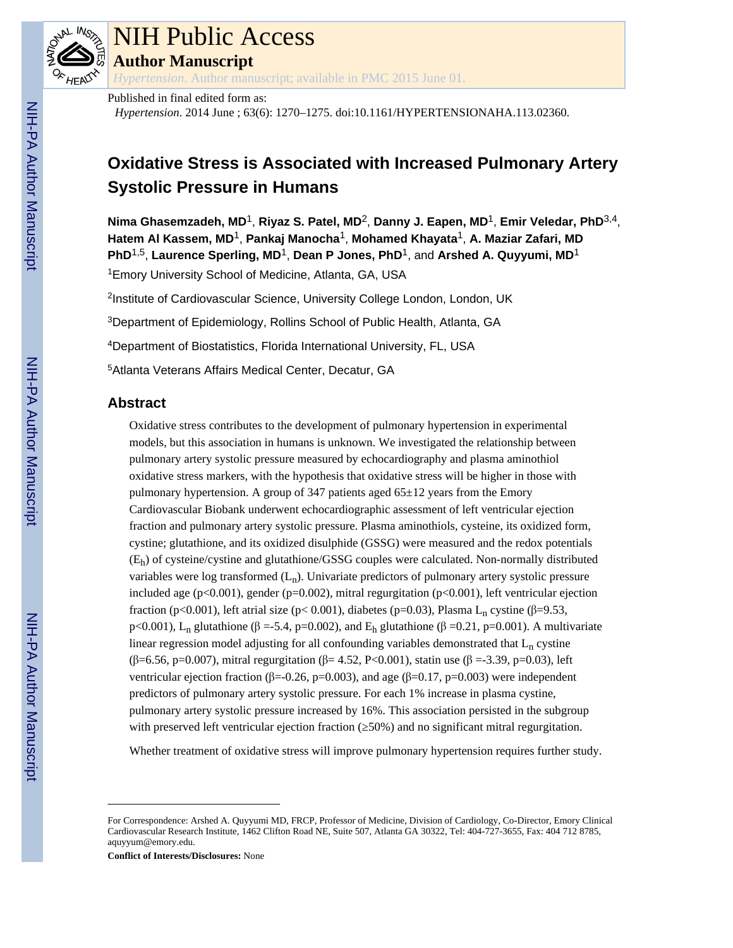

# NIH Public Access

**Author Manuscript**

*Hypertension*. Author manuscript; available in PMC 2015 June 01.

Published in final edited form as:

*Hypertension*. 2014 June ; 63(6): 1270–1275. doi:10.1161/HYPERTENSIONAHA.113.02360.

## **Oxidative Stress is Associated with Increased Pulmonary Artery Systolic Pressure in Humans**

**Nima Ghasemzadeh, MD**1, **Riyaz S. Patel, MD**2, **Danny J. Eapen, MD**1, **Emir Veledar, PhD**3,4, **Hatem Al Kassem, MD**1, **Pankaj Manocha**1, **Mohamed Khayata**1, **A. Maziar Zafari, MD PhD**1,5, **Laurence Sperling, MD**1, **Dean P Jones, PhD**1, and **Arshed A. Quyyumi, MD**<sup>1</sup>

<sup>1</sup>Emory University School of Medicine, Atlanta, GA, USA

<sup>2</sup>Institute of Cardiovascular Science, University College London, London, UK

<sup>3</sup>Department of Epidemiology, Rollins School of Public Health, Atlanta, GA

<sup>4</sup>Department of Biostatistics, Florida International University, FL, USA

<sup>5</sup>Atlanta Veterans Affairs Medical Center, Decatur, GA

## **Abstract**

Oxidative stress contributes to the development of pulmonary hypertension in experimental models, but this association in humans is unknown. We investigated the relationship between pulmonary artery systolic pressure measured by echocardiography and plasma aminothiol oxidative stress markers, with the hypothesis that oxidative stress will be higher in those with pulmonary hypertension. A group of 347 patients aged  $65\pm12$  years from the Emory Cardiovascular Biobank underwent echocardiographic assessment of left ventricular ejection fraction and pulmonary artery systolic pressure. Plasma aminothiols, cysteine, its oxidized form, cystine; glutathione, and its oxidized disulphide (GSSG) were measured and the redox potentials (Eh) of cysteine/cystine and glutathione/GSSG couples were calculated. Non-normally distributed variables were log transformed  $(L_n)$ . Univariate predictors of pulmonary artery systolic pressure included age ( $p<0.001$ ), gender ( $p=0.002$ ), mitral regurgitation ( $p<0.001$ ), left ventricular ejection fraction (p<0.001), left atrial size (p<0.001), diabetes (p=0.03), Plasma L<sub>n</sub> cystine ( $\beta$ =9.53, p<0.001), L<sub>n</sub> glutathione ( $\beta$  =-5.4, p=0.002), and E<sub>h</sub> glutathione ( $\beta$  =0.21, p=0.001). A multivariate linear regression model adjusting for all confounding variables demonstrated that  $L_n$  cystine ( $\beta$ =6.56, p=0.007), mitral regurgitation ( $\beta$ = 4.52, P<0.001), statin use ( $\beta$  =-3.39, p=0.03), left ventricular ejection fraction (β=-0.26, p=0.003), and age (β=0.17, p=0.003) were independent predictors of pulmonary artery systolic pressure. For each 1% increase in plasma cystine, pulmonary artery systolic pressure increased by 16%. This association persisted in the subgroup with preserved left ventricular ejection fraction  $(50\%)$  and no significant mitral regurgitation.

Whether treatment of oxidative stress will improve pulmonary hypertension requires further study.

**Conflict of Interests/Disclosures:** None

For Correspondence: Arshed A. Quyyumi MD, FRCP, Professor of Medicine, Division of Cardiology, Co-Director, Emory Clinical Cardiovascular Research Institute, 1462 Clifton Road NE, Suite 507, Atlanta GA 30322, Tel: 404-727-3655, Fax: 404 712 8785, aquyyum@emory.edu.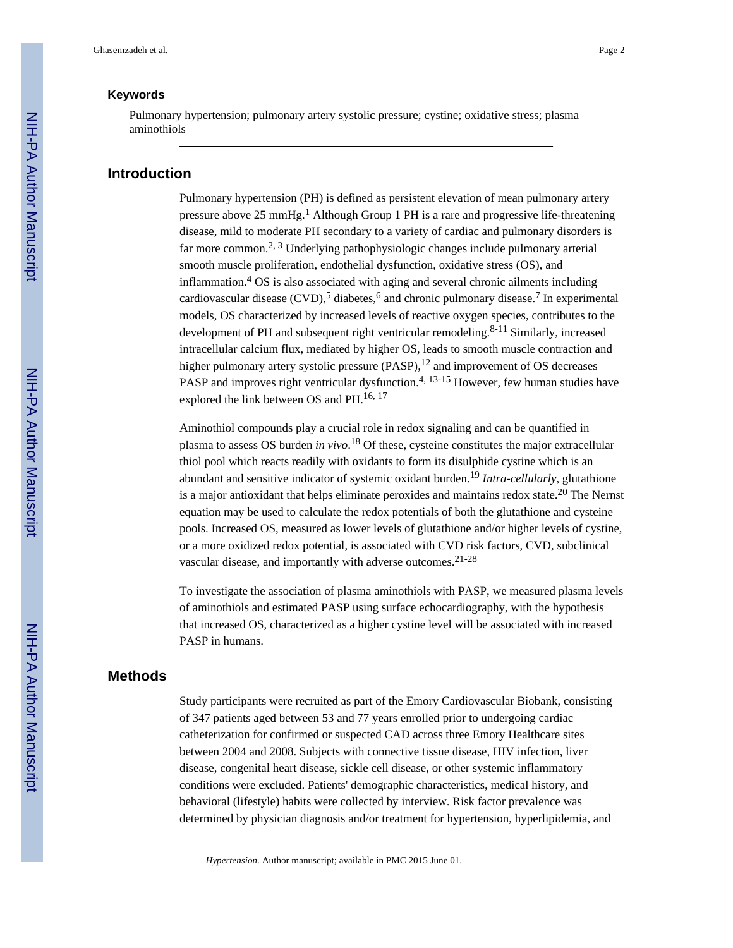## **Keywords**

Pulmonary hypertension; pulmonary artery systolic pressure; cystine; oxidative stress; plasma aminothiols

## **Introduction**

Pulmonary hypertension (PH) is defined as persistent elevation of mean pulmonary artery pressure above 25 mmHg.<sup>1</sup> Although Group 1 PH is a rare and progressive life-threatening disease, mild to moderate PH secondary to a variety of cardiac and pulmonary disorders is far more common.<sup>2, 3</sup> Underlying pathophysiologic changes include pulmonary arterial smooth muscle proliferation, endothelial dysfunction, oxidative stress (OS), and inflammation.<sup>4</sup> OS is also associated with aging and several chronic ailments including cardiovascular disease (CVD),<sup>5</sup> diabetes,<sup>6</sup> and chronic pulmonary disease.<sup>7</sup> In experimental models, OS characterized by increased levels of reactive oxygen species, contributes to the development of PH and subsequent right ventricular remodeling.<sup>8-11</sup> Similarly, increased intracellular calcium flux, mediated by higher OS, leads to smooth muscle contraction and higher pulmonary artery systolic pressure  $(PASP)$ ,  $^{12}$  and improvement of OS decreases PASP and improves right ventricular dysfunction.<sup>4, 13-15</sup> However, few human studies have explored the link between OS and PH.16, 17

Aminothiol compounds play a crucial role in redox signaling and can be quantified in plasma to assess OS burden *in vivo*. <sup>18</sup> Of these, cysteine constitutes the major extracellular thiol pool which reacts readily with oxidants to form its disulphide cystine which is an abundant and sensitive indicator of systemic oxidant burden.<sup>19</sup> *Intra-cellularly*, glutathione is a major antioxidant that helps eliminate peroxides and maintains redox state.20 The Nernst equation may be used to calculate the redox potentials of both the glutathione and cysteine pools. Increased OS, measured as lower levels of glutathione and/or higher levels of cystine, or a more oxidized redox potential, is associated with CVD risk factors, CVD, subclinical vascular disease, and importantly with adverse outcomes.21-28

To investigate the association of plasma aminothiols with PASP, we measured plasma levels of aminothiols and estimated PASP using surface echocardiography, with the hypothesis that increased OS, characterized as a higher cystine level will be associated with increased PASP in humans.

## **Methods**

Study participants were recruited as part of the Emory Cardiovascular Biobank, consisting of 347 patients aged between 53 and 77 years enrolled prior to undergoing cardiac catheterization for confirmed or suspected CAD across three Emory Healthcare sites between 2004 and 2008. Subjects with connective tissue disease, HIV infection, liver disease, congenital heart disease, sickle cell disease, or other systemic inflammatory conditions were excluded. Patients' demographic characteristics, medical history, and behavioral (lifestyle) habits were collected by interview. Risk factor prevalence was determined by physician diagnosis and/or treatment for hypertension, hyperlipidemia, and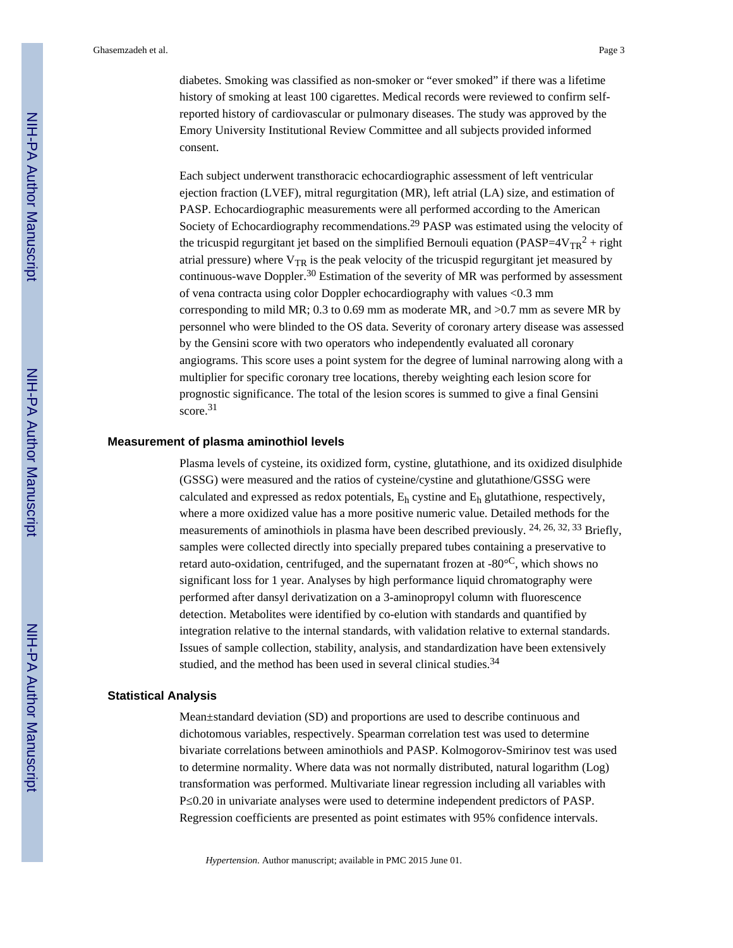diabetes. Smoking was classified as non-smoker or "ever smoked" if there was a lifetime history of smoking at least 100 cigarettes. Medical records were reviewed to confirm selfreported history of cardiovascular or pulmonary diseases. The study was approved by the Emory University Institutional Review Committee and all subjects provided informed consent.

Each subject underwent transthoracic echocardiographic assessment of left ventricular ejection fraction (LVEF), mitral regurgitation (MR), left atrial (LA) size, and estimation of PASP. Echocardiographic measurements were all performed according to the American Society of Echocardiography recommendations.<sup>29</sup> PASP was estimated using the velocity of the tricuspid regurgitant jet based on the simplified Bernouli equation (PASP= $4V_{TR}^2 +$  right atrial pressure) where  $V_{TR}$  is the peak velocity of the tricuspid regurgitant jet measured by continuous-wave Doppler.<sup>30</sup> Estimation of the severity of MR was performed by assessment of vena contracta using color Doppler echocardiography with values <0.3 mm corresponding to mild MR; 0.3 to 0.69 mm as moderate MR, and >0.7 mm as severe MR by personnel who were blinded to the OS data. Severity of coronary artery disease was assessed by the Gensini score with two operators who independently evaluated all coronary angiograms. This score uses a point system for the degree of luminal narrowing along with a multiplier for specific coronary tree locations, thereby weighting each lesion score for prognostic significance. The total of the lesion scores is summed to give a final Gensini score.<sup>31</sup>

#### **Measurement of plasma aminothiol levels**

Plasma levels of cysteine, its oxidized form, cystine, glutathione, and its oxidized disulphide (GSSG) were measured and the ratios of cysteine/cystine and glutathione/GSSG were calculated and expressed as redox potentials,  $E_h$  cystine and  $E_h$  glutathione, respectively, where a more oxidized value has a more positive numeric value. Detailed methods for the measurements of aminothiols in plasma have been described previously. 24, 26, 32, 33 Briefly, samples were collected directly into specially prepared tubes containing a preservative to retard auto-oxidation, centrifuged, and the supernatant frozen at  $-80^{\circ}$ C, which shows no significant loss for 1 year. Analyses by high performance liquid chromatography were performed after dansyl derivatization on a 3-aminopropyl column with fluorescence detection. Metabolites were identified by co-elution with standards and quantified by integration relative to the internal standards, with validation relative to external standards. Issues of sample collection, stability, analysis, and standardization have been extensively studied, and the method has been used in several clinical studies.<sup>34</sup>

#### **Statistical Analysis**

Mean±standard deviation (SD) and proportions are used to describe continuous and dichotomous variables, respectively. Spearman correlation test was used to determine bivariate correlations between aminothiols and PASP. Kolmogorov-Smirinov test was used to determine normality. Where data was not normally distributed, natural logarithm (Log) transformation was performed. Multivariate linear regression including all variables with P 0.20 in univariate analyses were used to determine independent predictors of PASP. Regression coefficients are presented as point estimates with 95% confidence intervals.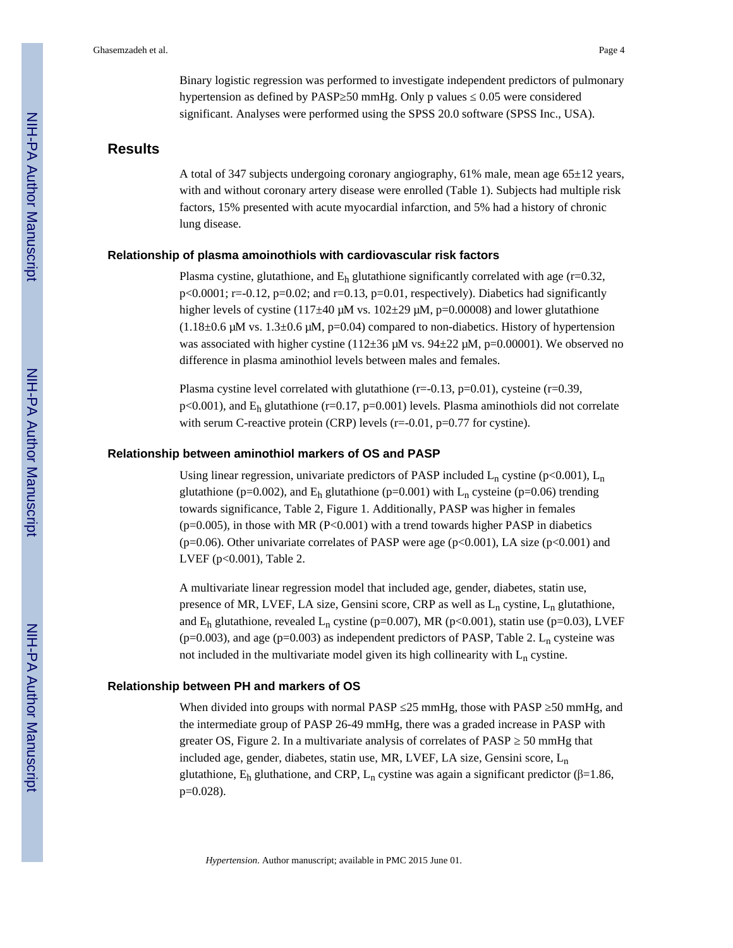Binary logistic regression was performed to investigate independent predictors of pulmonary hypertension as defined by PASP 50 mmHg. Only p values 0.05 were considered significant. Analyses were performed using the SPSS 20.0 software (SPSS Inc., USA).

## **Results**

A total of 347 subjects undergoing coronary angiography, 61% male, mean age 65±12 years, with and without coronary artery disease were enrolled (Table 1). Subjects had multiple risk factors, 15% presented with acute myocardial infarction, and 5% had a history of chronic lung disease.

#### **Relationship of plasma amoinothiols with cardiovascular risk factors**

Plasma cystine, glutathione, and  $E_h$  glutathione significantly correlated with age (r=0.32,  $p<0.0001$ ; r=-0.12,  $p=0.02$ ; and r=0.13,  $p=0.01$ , respectively). Diabetics had significantly higher levels of cystine (117 $\pm$ 40 μM vs. 102 $\pm$ 29 μM, p=0.00008) and lower glutathione  $(1.18\pm0.6 \,\mu\text{M} \text{ vs. } 1.3\pm0.6 \,\mu\text{M}, \text{p=0.04})$  compared to non-diabetics. History of hypertension was associated with higher cystine ( $112\pm36$   $\mu$ M vs.  $94\pm22$   $\mu$ M,  $p=0.00001$ ). We observed no difference in plasma aminothiol levels between males and females.

Plasma cystine level correlated with glutathione (r=-0.13, p=0.01), cysteine (r=0.39,  $p<0.001$ ), and  $E_h$  glutathione (r=0.17, p=0.001) levels. Plasma aminothiols did not correlate with serum C-reactive protein (CRP) levels  $(r=0.01, p=0.77$  for cystine).

#### **Relationship between aminothiol markers of OS and PASP**

Using linear regression, univariate predictors of PASP included  $L_n$  cystine (p<0.001),  $L_n$ glutathione (p=0.002), and  $E_h$  glutathione (p=0.001) with  $L_n$  cysteine (p=0.06) trending towards significance, Table 2, Figure 1. Additionally, PASP was higher in females  $(p=0.005)$ , in those with MR (P<0.001) with a trend towards higher PASP in diabetics (p=0.06). Other univariate correlates of PASP were age (p<0.001), LA size (p<0.001) and LVEF (p<0.001), Table 2.

A multivariate linear regression model that included age, gender, diabetes, statin use, presence of MR, LVEF, LA size, Gensini score, CRP as well as  $L_n$  cystine,  $L_n$  glutathione, and  $E_h$  glutathione, revealed  $L_n$  cystine (p=0.007), MR (p<0.001), statin use (p=0.03), LVEF (p=0.003), and age (p=0.003) as independent predictors of PASP, Table 2.  $L_n$  cysteine was not included in the multivariate model given its high collinearity with  $L_n$  cystine.

#### **Relationship between PH and markers of OS**

When divided into groups with normal PASP 25 mmHg, those with PASP 50 mmHg, and the intermediate group of PASP 26-49 mmHg, there was a graded increase in PASP with greater OS, Figure 2. In a multivariate analysis of correlates of PASP = 50 mmHg that included age, gender, diabetes, statin use, MR, LVEF, LA size, Gensini score, L<sub>n</sub> glutathione,  $E_h$  gluthatione, and CRP,  $L_n$  cystine was again a significant predictor ( $\beta$ =1.86, p=0.028).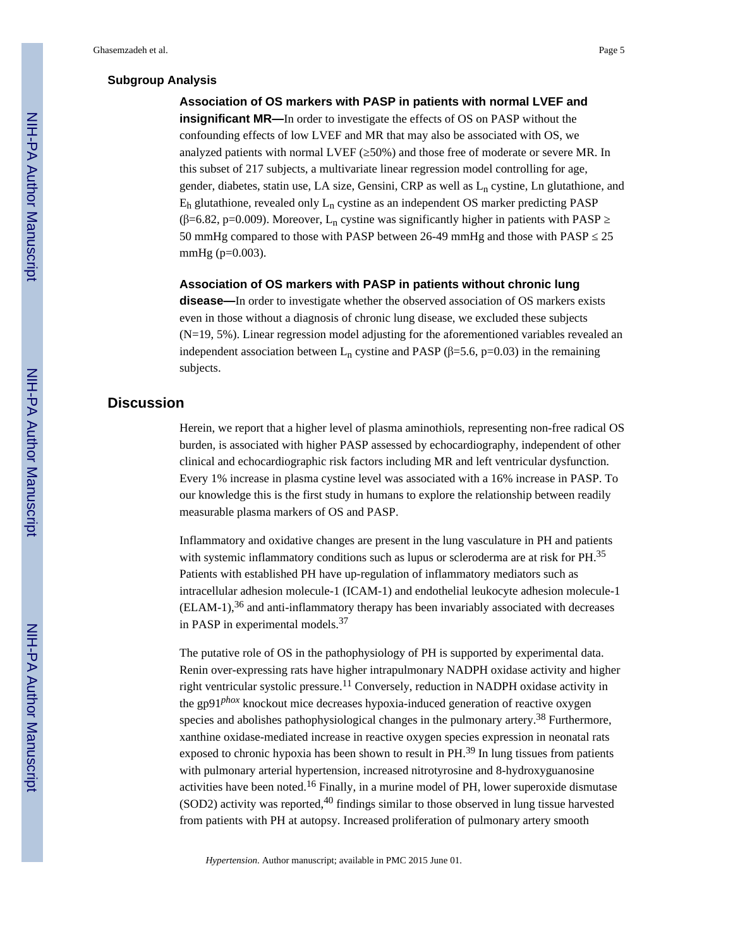#### **Subgroup Analysis**

#### **Association of OS markers with PASP in patients with normal LVEF and**

**insignificant MR—**In order to investigate the effects of OS on PASP without the confounding effects of low LVEF and MR that may also be associated with OS, we analyzed patients with normal LVEF (50%) and those free of moderate or severe MR. In this subset of 217 subjects, a multivariate linear regression model controlling for age, gender, diabetes, statin use, LA size, Gensini, CRP as well as  $L_n$  cystine, Ln glutathione, and  $E_h$  glutathione, revealed only  $L_n$  cystine as an independent OS marker predicting PASP ( $\beta$ =6.82, p=0.009). Moreover, L<sub>n</sub> cystine was significantly higher in patients with PASP 50 mmHg compared to those with PASP between 26-49 mmHg and those with PASP 25 mmHg ( $p=0.003$ ).

#### **Association of OS markers with PASP in patients without chronic lung**

**disease—**In order to investigate whether the observed association of OS markers exists even in those without a diagnosis of chronic lung disease, we excluded these subjects (N=19, 5%). Linear regression model adjusting for the aforementioned variables revealed an independent association between  $L_n$  cystine and PASP ( $\beta$ =5.6, p=0.03) in the remaining subjects.

## **Discussion**

Herein, we report that a higher level of plasma aminothiols, representing non-free radical OS burden, is associated with higher PASP assessed by echocardiography, independent of other clinical and echocardiographic risk factors including MR and left ventricular dysfunction. Every 1% increase in plasma cystine level was associated with a 16% increase in PASP. To our knowledge this is the first study in humans to explore the relationship between readily measurable plasma markers of OS and PASP.

Inflammatory and oxidative changes are present in the lung vasculature in PH and patients with systemic inflammatory conditions such as lupus or scleroderma are at risk for PH.<sup>35</sup> Patients with established PH have up-regulation of inflammatory mediators such as intracellular adhesion molecule-1 (ICAM-1) and endothelial leukocyte adhesion molecule-1  $(ELAM-1)$ ,  $36$  and anti-inflammatory therapy has been invariably associated with decreases in PASP in experimental models.<sup>37</sup>

The putative role of OS in the pathophysiology of PH is supported by experimental data. Renin over-expressing rats have higher intrapulmonary NADPH oxidase activity and higher right ventricular systolic pressure.11 Conversely, reduction in NADPH oxidase activity in the gp91*phox* knockout mice decreases hypoxia-induced generation of reactive oxygen species and abolishes pathophysiological changes in the pulmonary artery.<sup>38</sup> Furthermore, xanthine oxidase-mediated increase in reactive oxygen species expression in neonatal rats exposed to chronic hypoxia has been shown to result in  $PH<sup>39</sup>$  In lung tissues from patients with pulmonary arterial hypertension, increased nitrotyrosine and 8-hydroxyguanosine activities have been noted.<sup>16</sup> Finally, in a murine model of PH, lower superoxide dismutase (SOD2) activity was reported, $40$  findings similar to those observed in lung tissue harvested from patients with PH at autopsy. Increased proliferation of pulmonary artery smooth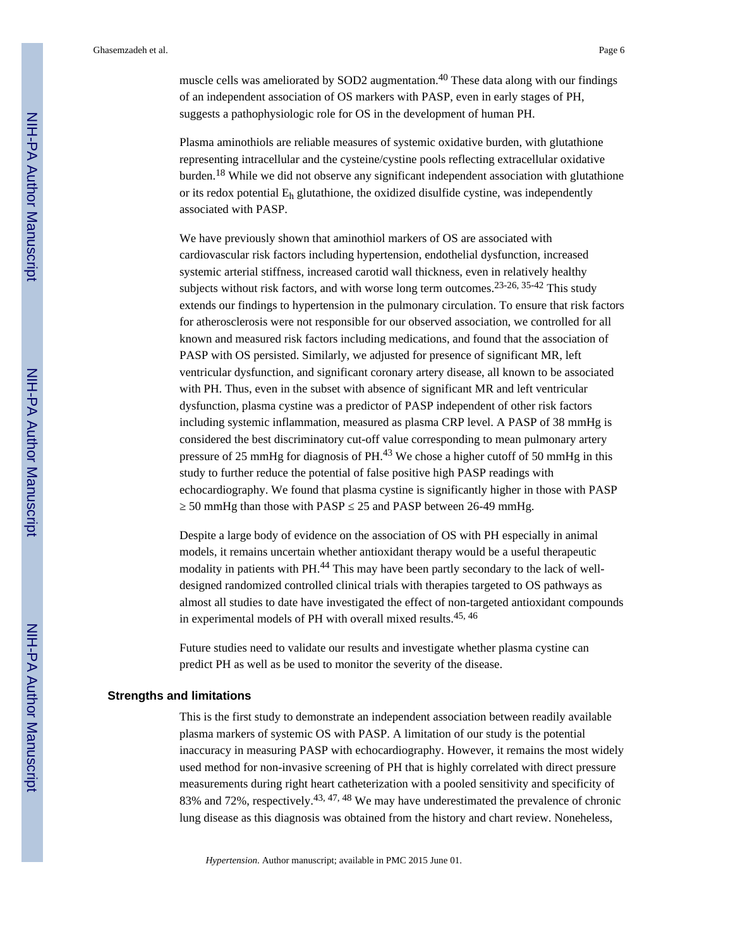muscle cells was ameliorated by SOD2 augmentation.<sup>40</sup> These data along with our findings of an independent association of OS markers with PASP, even in early stages of PH, suggests a pathophysiologic role for OS in the development of human PH.

Plasma aminothiols are reliable measures of systemic oxidative burden, with glutathione representing intracellular and the cysteine/cystine pools reflecting extracellular oxidative burden.18 While we did not observe any significant independent association with glutathione or its redox potential  $E_h$  glutathione, the oxidized disulfide cystine, was independently associated with PASP.

We have previously shown that aminothiol markers of OS are associated with cardiovascular risk factors including hypertension, endothelial dysfunction, increased systemic arterial stiffness, increased carotid wall thickness, even in relatively healthy subjects without risk factors, and with worse long term outcomes.23-26, 35-42 This study extends our findings to hypertension in the pulmonary circulation. To ensure that risk factors for atherosclerosis were not responsible for our observed association, we controlled for all known and measured risk factors including medications, and found that the association of PASP with OS persisted. Similarly, we adjusted for presence of significant MR, left ventricular dysfunction, and significant coronary artery disease, all known to be associated with PH. Thus, even in the subset with absence of significant MR and left ventricular dysfunction, plasma cystine was a predictor of PASP independent of other risk factors including systemic inflammation, measured as plasma CRP level. A PASP of 38 mmHg is considered the best discriminatory cut-off value corresponding to mean pulmonary artery pressure of 25 mmHg for diagnosis of  $PH<sup>43</sup>$  We chose a higher cutoff of 50 mmHg in this study to further reduce the potential of false positive high PASP readings with echocardiography. We found that plasma cystine is significantly higher in those with PASP 50 mmHg than those with PASP 25 and PASP between 26-49 mmHg.

Despite a large body of evidence on the association of OS with PH especially in animal models, it remains uncertain whether antioxidant therapy would be a useful therapeutic modality in patients with PH.<sup>44</sup> This may have been partly secondary to the lack of welldesigned randomized controlled clinical trials with therapies targeted to OS pathways as almost all studies to date have investigated the effect of non-targeted antioxidant compounds in experimental models of PH with overall mixed results.45, 46

Future studies need to validate our results and investigate whether plasma cystine can predict PH as well as be used to monitor the severity of the disease.

### **Strengths and limitations**

This is the first study to demonstrate an independent association between readily available plasma markers of systemic OS with PASP. A limitation of our study is the potential inaccuracy in measuring PASP with echocardiography. However, it remains the most widely used method for non-invasive screening of PH that is highly correlated with direct pressure measurements during right heart catheterization with a pooled sensitivity and specificity of 83% and 72%, respectively.<sup>43, 47, 48</sup> We may have underestimated the prevalence of chronic lung disease as this diagnosis was obtained from the history and chart review. Noneheless,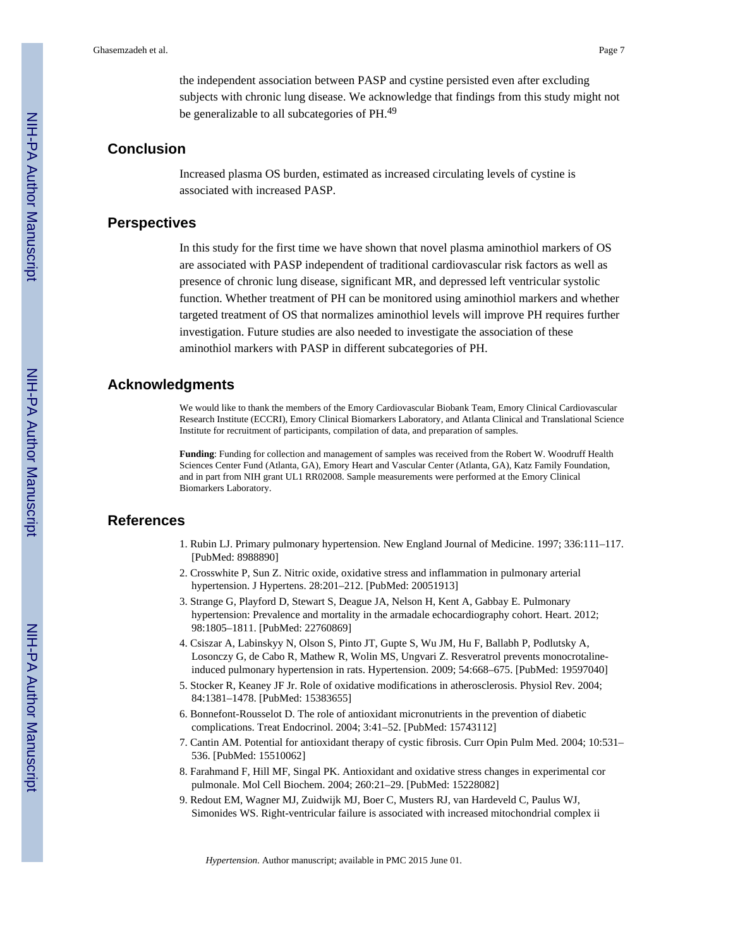the independent association between PASP and cystine persisted even after excluding subjects with chronic lung disease. We acknowledge that findings from this study might not be generalizable to all subcategories of PH.<sup>49</sup>

## **Conclusion**

Increased plasma OS burden, estimated as increased circulating levels of cystine is associated with increased PASP.

## **Perspectives**

In this study for the first time we have shown that novel plasma aminothiol markers of OS are associated with PASP independent of traditional cardiovascular risk factors as well as presence of chronic lung disease, significant MR, and depressed left ventricular systolic function. Whether treatment of PH can be monitored using aminothiol markers and whether targeted treatment of OS that normalizes aminothiol levels will improve PH requires further investigation. Future studies are also needed to investigate the association of these aminothiol markers with PASP in different subcategories of PH.

## **Acknowledgments**

We would like to thank the members of the Emory Cardiovascular Biobank Team, Emory Clinical Cardiovascular Research Institute (ECCRI), Emory Clinical Biomarkers Laboratory, and Atlanta Clinical and Translational Science Institute for recruitment of participants, compilation of data, and preparation of samples.

**Funding**: Funding for collection and management of samples was received from the Robert W. Woodruff Health Sciences Center Fund (Atlanta, GA), Emory Heart and Vascular Center (Atlanta, GA), Katz Family Foundation, and in part from NIH grant UL1 RR02008. Sample measurements were performed at the Emory Clinical Biomarkers Laboratory.

## **References**

- 1. Rubin LJ. Primary pulmonary hypertension. New England Journal of Medicine. 1997; 336:111–117. [PubMed: 8988890]
- 2. Crosswhite P, Sun Z. Nitric oxide, oxidative stress and inflammation in pulmonary arterial hypertension. J Hypertens. 28:201–212. [PubMed: 20051913]
- 3. Strange G, Playford D, Stewart S, Deague JA, Nelson H, Kent A, Gabbay E. Pulmonary hypertension: Prevalence and mortality in the armadale echocardiography cohort. Heart. 2012; 98:1805–1811. [PubMed: 22760869]
- 4. Csiszar A, Labinskyy N, Olson S, Pinto JT, Gupte S, Wu JM, Hu F, Ballabh P, Podlutsky A, Losonczy G, de Cabo R, Mathew R, Wolin MS, Ungvari Z. Resveratrol prevents monocrotalineinduced pulmonary hypertension in rats. Hypertension. 2009; 54:668–675. [PubMed: 19597040]
- 5. Stocker R, Keaney JF Jr. Role of oxidative modifications in atherosclerosis. Physiol Rev. 2004; 84:1381–1478. [PubMed: 15383655]
- 6. Bonnefont-Rousselot D. The role of antioxidant micronutrients in the prevention of diabetic complications. Treat Endocrinol. 2004; 3:41–52. [PubMed: 15743112]
- 7. Cantin AM. Potential for antioxidant therapy of cystic fibrosis. Curr Opin Pulm Med. 2004; 10:531– 536. [PubMed: 15510062]
- 8. Farahmand F, Hill MF, Singal PK. Antioxidant and oxidative stress changes in experimental cor pulmonale. Mol Cell Biochem. 2004; 260:21–29. [PubMed: 15228082]
- 9. Redout EM, Wagner MJ, Zuidwijk MJ, Boer C, Musters RJ, van Hardeveld C, Paulus WJ, Simonides WS. Right-ventricular failure is associated with increased mitochondrial complex ii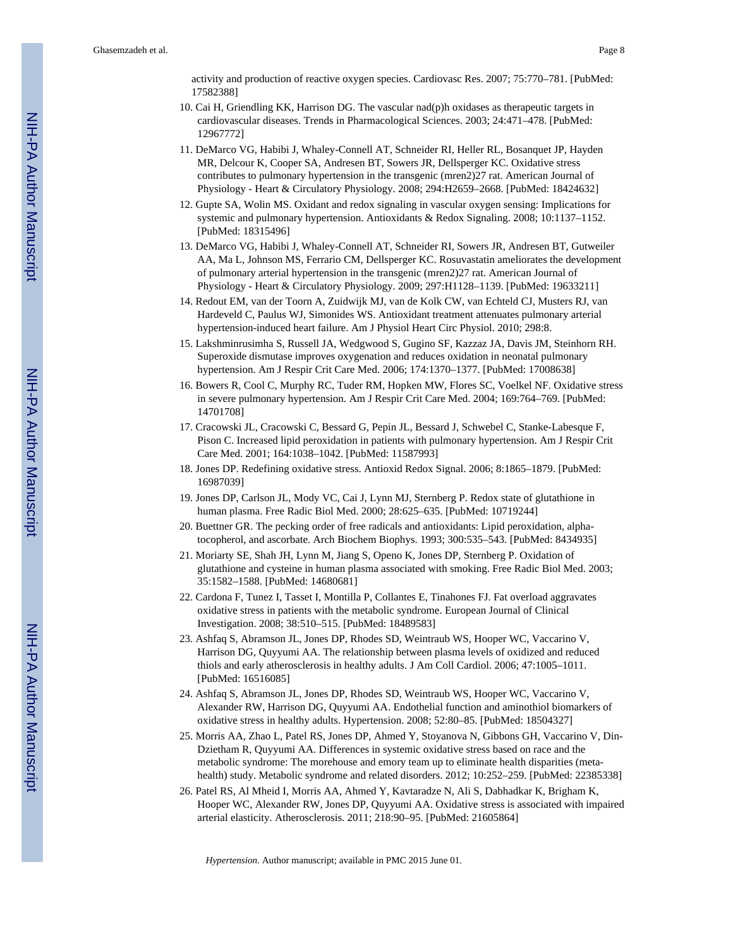activity and production of reactive oxygen species. Cardiovasc Res. 2007; 75:770–781. [PubMed: 17582388]

- 10. Cai H, Griendling KK, Harrison DG. The vascular nad(p)h oxidases as therapeutic targets in cardiovascular diseases. Trends in Pharmacological Sciences. 2003; 24:471–478. [PubMed: 12967772]
- 11. DeMarco VG, Habibi J, Whaley-Connell AT, Schneider RI, Heller RL, Bosanquet JP, Hayden MR, Delcour K, Cooper SA, Andresen BT, Sowers JR, Dellsperger KC. Oxidative stress contributes to pulmonary hypertension in the transgenic (mren2)27 rat. American Journal of Physiology - Heart & Circulatory Physiology. 2008; 294:H2659–2668. [PubMed: 18424632]
- 12. Gupte SA, Wolin MS. Oxidant and redox signaling in vascular oxygen sensing: Implications for systemic and pulmonary hypertension. Antioxidants & Redox Signaling. 2008; 10:1137–1152. [PubMed: 18315496]
- 13. DeMarco VG, Habibi J, Whaley-Connell AT, Schneider RI, Sowers JR, Andresen BT, Gutweiler AA, Ma L, Johnson MS, Ferrario CM, Dellsperger KC. Rosuvastatin ameliorates the development of pulmonary arterial hypertension in the transgenic (mren2)27 rat. American Journal of Physiology - Heart & Circulatory Physiology. 2009; 297:H1128–1139. [PubMed: 19633211]
- 14. Redout EM, van der Toorn A, Zuidwijk MJ, van de Kolk CW, van Echteld CJ, Musters RJ, van Hardeveld C, Paulus WJ, Simonides WS. Antioxidant treatment attenuates pulmonary arterial hypertension-induced heart failure. Am J Physiol Heart Circ Physiol. 2010; 298:8.
- 15. Lakshminrusimha S, Russell JA, Wedgwood S, Gugino SF, Kazzaz JA, Davis JM, Steinhorn RH. Superoxide dismutase improves oxygenation and reduces oxidation in neonatal pulmonary hypertension. Am J Respir Crit Care Med. 2006; 174:1370–1377. [PubMed: 17008638]
- 16. Bowers R, Cool C, Murphy RC, Tuder RM, Hopken MW, Flores SC, Voelkel NF. Oxidative stress in severe pulmonary hypertension. Am J Respir Crit Care Med. 2004; 169:764–769. [PubMed: 14701708]
- 17. Cracowski JL, Cracowski C, Bessard G, Pepin JL, Bessard J, Schwebel C, Stanke-Labesque F, Pison C. Increased lipid peroxidation in patients with pulmonary hypertension. Am J Respir Crit Care Med. 2001; 164:1038–1042. [PubMed: 11587993]
- 18. Jones DP. Redefining oxidative stress. Antioxid Redox Signal. 2006; 8:1865–1879. [PubMed: 16987039]
- 19. Jones DP, Carlson JL, Mody VC, Cai J, Lynn MJ, Sternberg P. Redox state of glutathione in human plasma. Free Radic Biol Med. 2000; 28:625–635. [PubMed: 10719244]
- 20. Buettner GR. The pecking order of free radicals and antioxidants: Lipid peroxidation, alphatocopherol, and ascorbate. Arch Biochem Biophys. 1993; 300:535–543. [PubMed: 8434935]
- 21. Moriarty SE, Shah JH, Lynn M, Jiang S, Openo K, Jones DP, Sternberg P. Oxidation of glutathione and cysteine in human plasma associated with smoking. Free Radic Biol Med. 2003; 35:1582–1588. [PubMed: 14680681]
- 22. Cardona F, Tunez I, Tasset I, Montilla P, Collantes E, Tinahones FJ. Fat overload aggravates oxidative stress in patients with the metabolic syndrome. European Journal of Clinical Investigation. 2008; 38:510–515. [PubMed: 18489583]
- 23. Ashfaq S, Abramson JL, Jones DP, Rhodes SD, Weintraub WS, Hooper WC, Vaccarino V, Harrison DG, Quyyumi AA. The relationship between plasma levels of oxidized and reduced thiols and early atherosclerosis in healthy adults. J Am Coll Cardiol. 2006; 47:1005–1011. [PubMed: 16516085]
- 24. Ashfaq S, Abramson JL, Jones DP, Rhodes SD, Weintraub WS, Hooper WC, Vaccarino V, Alexander RW, Harrison DG, Quyyumi AA. Endothelial function and aminothiol biomarkers of oxidative stress in healthy adults. Hypertension. 2008; 52:80–85. [PubMed: 18504327]
- 25. Morris AA, Zhao L, Patel RS, Jones DP, Ahmed Y, Stoyanova N, Gibbons GH, Vaccarino V, Din-Dzietham R, Quyyumi AA. Differences in systemic oxidative stress based on race and the metabolic syndrome: The morehouse and emory team up to eliminate health disparities (metahealth) study. Metabolic syndrome and related disorders. 2012; 10:252–259. [PubMed: 22385338]
- 26. Patel RS, Al Mheid I, Morris AA, Ahmed Y, Kavtaradze N, Ali S, Dabhadkar K, Brigham K, Hooper WC, Alexander RW, Jones DP, Quyyumi AA. Oxidative stress is associated with impaired arterial elasticity. Atherosclerosis. 2011; 218:90–95. [PubMed: 21605864]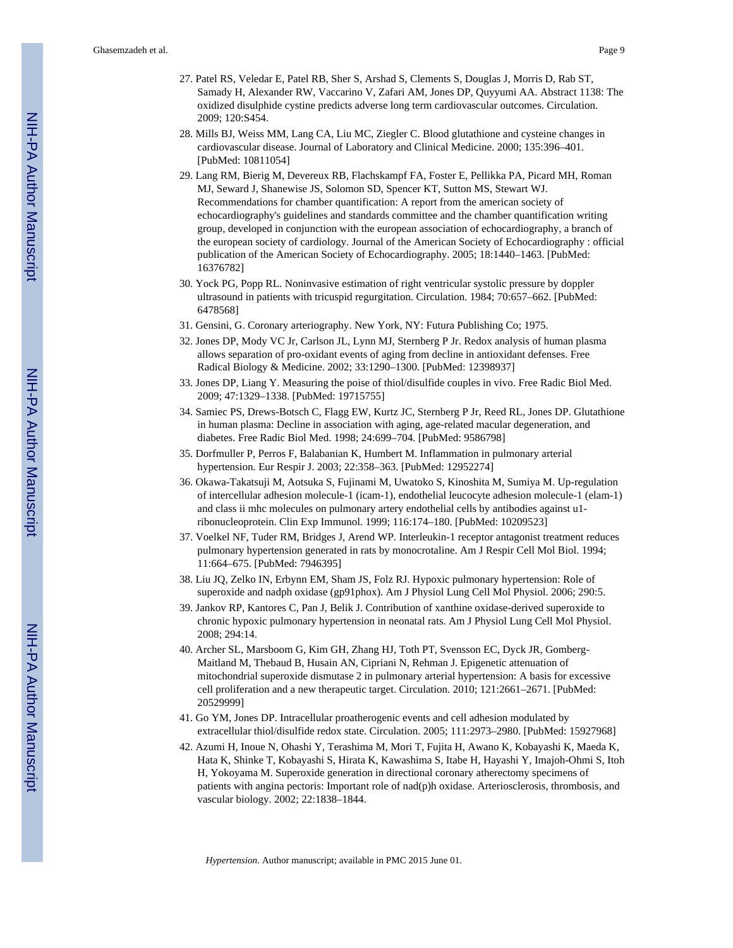- 27. Patel RS, Veledar E, Patel RB, Sher S, Arshad S, Clements S, Douglas J, Morris D, Rab ST, Samady H, Alexander RW, Vaccarino V, Zafari AM, Jones DP, Quyyumi AA. Abstract 1138: The oxidized disulphide cystine predicts adverse long term cardiovascular outcomes. Circulation. 2009; 120:S454.
- 28. Mills BJ, Weiss MM, Lang CA, Liu MC, Ziegler C. Blood glutathione and cysteine changes in cardiovascular disease. Journal of Laboratory and Clinical Medicine. 2000; 135:396–401. [PubMed: 10811054]
- 29. Lang RM, Bierig M, Devereux RB, Flachskampf FA, Foster E, Pellikka PA, Picard MH, Roman MJ, Seward J, Shanewise JS, Solomon SD, Spencer KT, Sutton MS, Stewart WJ. Recommendations for chamber quantification: A report from the american society of echocardiography's guidelines and standards committee and the chamber quantification writing group, developed in conjunction with the european association of echocardiography, a branch of the european society of cardiology. Journal of the American Society of Echocardiography : official publication of the American Society of Echocardiography. 2005; 18:1440–1463. [PubMed: 16376782]
- 30. Yock PG, Popp RL. Noninvasive estimation of right ventricular systolic pressure by doppler ultrasound in patients with tricuspid regurgitation. Circulation. 1984; 70:657–662. [PubMed: 6478568]
- 31. Gensini, G. Coronary arteriography. New York, NY: Futura Publishing Co; 1975.
- 32. Jones DP, Mody VC Jr, Carlson JL, Lynn MJ, Sternberg P Jr. Redox analysis of human plasma allows separation of pro-oxidant events of aging from decline in antioxidant defenses. Free Radical Biology & Medicine. 2002; 33:1290–1300. [PubMed: 12398937]
- 33. Jones DP, Liang Y. Measuring the poise of thiol/disulfide couples in vivo. Free Radic Biol Med. 2009; 47:1329–1338. [PubMed: 19715755]
- 34. Samiec PS, Drews-Botsch C, Flagg EW, Kurtz JC, Sternberg P Jr, Reed RL, Jones DP. Glutathione in human plasma: Decline in association with aging, age-related macular degeneration, and diabetes. Free Radic Biol Med. 1998; 24:699–704. [PubMed: 9586798]
- 35. Dorfmuller P, Perros F, Balabanian K, Humbert M. Inflammation in pulmonary arterial hypertension. Eur Respir J. 2003; 22:358–363. [PubMed: 12952274]
- 36. Okawa-Takatsuji M, Aotsuka S, Fujinami M, Uwatoko S, Kinoshita M, Sumiya M. Up-regulation of intercellular adhesion molecule-1 (icam-1), endothelial leucocyte adhesion molecule-1 (elam-1) and class ii mhc molecules on pulmonary artery endothelial cells by antibodies against u1 ribonucleoprotein. Clin Exp Immunol. 1999; 116:174–180. [PubMed: 10209523]
- 37. Voelkel NF, Tuder RM, Bridges J, Arend WP. Interleukin-1 receptor antagonist treatment reduces pulmonary hypertension generated in rats by monocrotaline. Am J Respir Cell Mol Biol. 1994; 11:664–675. [PubMed: 7946395]
- 38. Liu JQ, Zelko IN, Erbynn EM, Sham JS, Folz RJ. Hypoxic pulmonary hypertension: Role of superoxide and nadph oxidase (gp91phox). Am J Physiol Lung Cell Mol Physiol. 2006; 290:5.
- 39. Jankov RP, Kantores C, Pan J, Belik J. Contribution of xanthine oxidase-derived superoxide to chronic hypoxic pulmonary hypertension in neonatal rats. Am J Physiol Lung Cell Mol Physiol. 2008; 294:14.
- 40. Archer SL, Marsboom G, Kim GH, Zhang HJ, Toth PT, Svensson EC, Dyck JR, Gomberg-Maitland M, Thebaud B, Husain AN, Cipriani N, Rehman J. Epigenetic attenuation of mitochondrial superoxide dismutase 2 in pulmonary arterial hypertension: A basis for excessive cell proliferation and a new therapeutic target. Circulation. 2010; 121:2661–2671. [PubMed: 20529999]
- 41. Go YM, Jones DP. Intracellular proatherogenic events and cell adhesion modulated by extracellular thiol/disulfide redox state. Circulation. 2005; 111:2973–2980. [PubMed: 15927968]
- 42. Azumi H, Inoue N, Ohashi Y, Terashima M, Mori T, Fujita H, Awano K, Kobayashi K, Maeda K, Hata K, Shinke T, Kobayashi S, Hirata K, Kawashima S, Itabe H, Hayashi Y, Imajoh-Ohmi S, Itoh H, Yokoyama M. Superoxide generation in directional coronary atherectomy specimens of patients with angina pectoris: Important role of nad(p)h oxidase. Arteriosclerosis, thrombosis, and vascular biology. 2002; 22:1838–1844.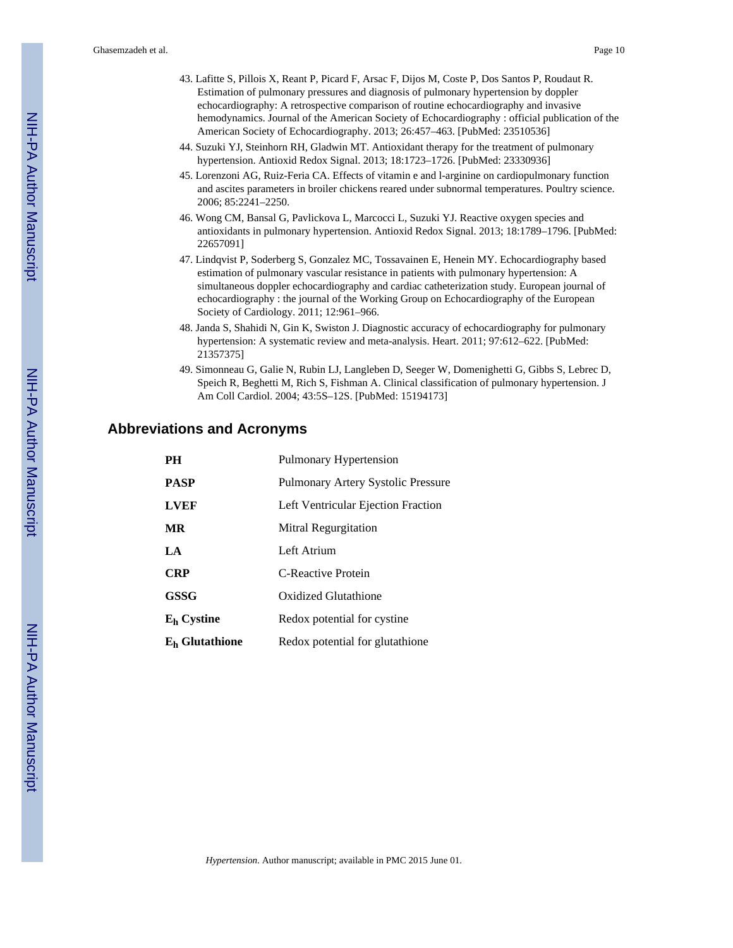- 43. Lafitte S, Pillois X, Reant P, Picard F, Arsac F, Dijos M, Coste P, Dos Santos P, Roudaut R. Estimation of pulmonary pressures and diagnosis of pulmonary hypertension by doppler echocardiography: A retrospective comparison of routine echocardiography and invasive hemodynamics. Journal of the American Society of Echocardiography : official publication of the American Society of Echocardiography. 2013; 26:457–463. [PubMed: 23510536]
- 44. Suzuki YJ, Steinhorn RH, Gladwin MT. Antioxidant therapy for the treatment of pulmonary hypertension. Antioxid Redox Signal. 2013; 18:1723–1726. [PubMed: 23330936]
- 45. Lorenzoni AG, Ruiz-Feria CA. Effects of vitamin e and l-arginine on cardiopulmonary function and ascites parameters in broiler chickens reared under subnormal temperatures. Poultry science. 2006; 85:2241–2250.
- 46. Wong CM, Bansal G, Pavlickova L, Marcocci L, Suzuki YJ. Reactive oxygen species and antioxidants in pulmonary hypertension. Antioxid Redox Signal. 2013; 18:1789–1796. [PubMed: 22657091]
- 47. Lindqvist P, Soderberg S, Gonzalez MC, Tossavainen E, Henein MY. Echocardiography based estimation of pulmonary vascular resistance in patients with pulmonary hypertension: A simultaneous doppler echocardiography and cardiac catheterization study. European journal of echocardiography : the journal of the Working Group on Echocardiography of the European Society of Cardiology. 2011; 12:961–966.
- 48. Janda S, Shahidi N, Gin K, Swiston J. Diagnostic accuracy of echocardiography for pulmonary hypertension: A systematic review and meta-analysis. Heart. 2011; 97:612–622. [PubMed: 21357375]
- 49. Simonneau G, Galie N, Rubin LJ, Langleben D, Seeger W, Domenighetti G, Gibbs S, Lebrec D, Speich R, Beghetti M, Rich S, Fishman A. Clinical classification of pulmonary hypertension. J Am Coll Cardiol. 2004; 43:5S–12S. [PubMed: 15194173]

## **Abbreviations and Acronyms**

| <b>Pulmonary Hypertension</b>      |  |  |
|------------------------------------|--|--|
| Pulmonary Artery Systolic Pressure |  |  |
| Left Ventricular Ejection Fraction |  |  |
| Mitral Regurgitation               |  |  |
| Left Atrium                        |  |  |
| C-Reactive Protein                 |  |  |
| Oxidized Glutathione               |  |  |
| Redox potential for cystine        |  |  |
| Redox potential for glutathione    |  |  |
|                                    |  |  |

NIH-PA Author Manuscript

NIH-PA Actros Manuscript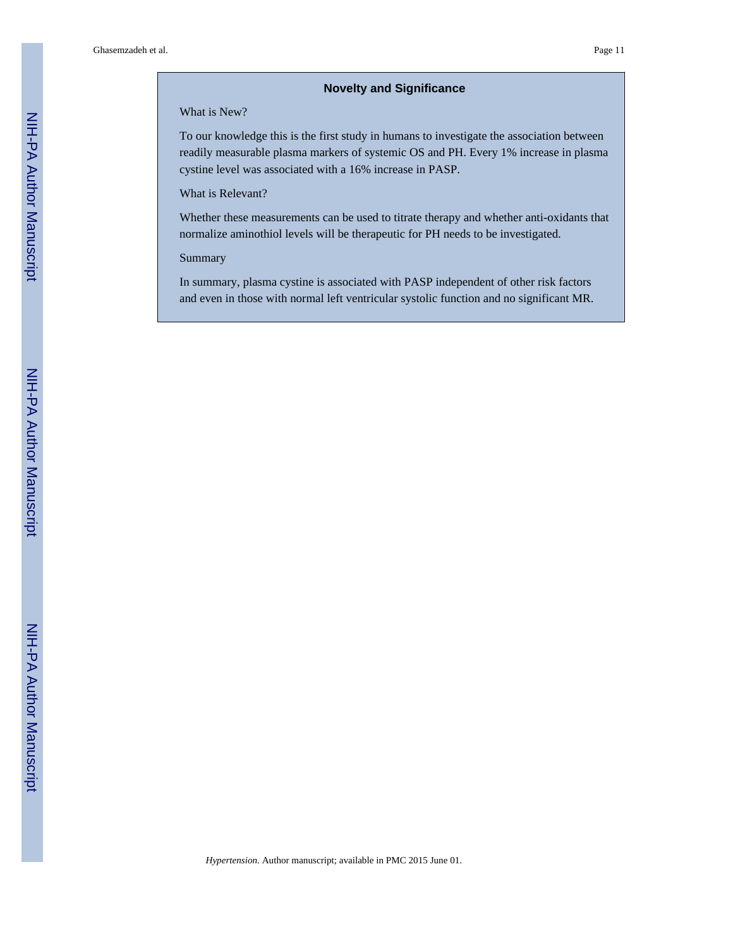## **Novelty and Significance**

## What is New?

To our knowledge this is the first study in humans to investigate the association between readily measurable plasma markers of systemic OS and PH. Every 1% increase in plasma cystine level was associated with a 16% increase in PASP.

What is Relevant?

Whether these measurements can be used to titrate therapy and whether anti-oxidants that normalize aminothiol levels will be therapeutic for PH needs to be investigated.

#### Summary

In summary, plasma cystine is associated with PASP independent of other risk factors and even in those with normal left ventricular systolic function and no significant MR.

NIH-PA Author Manuscript

NIH-PA Author Manuscript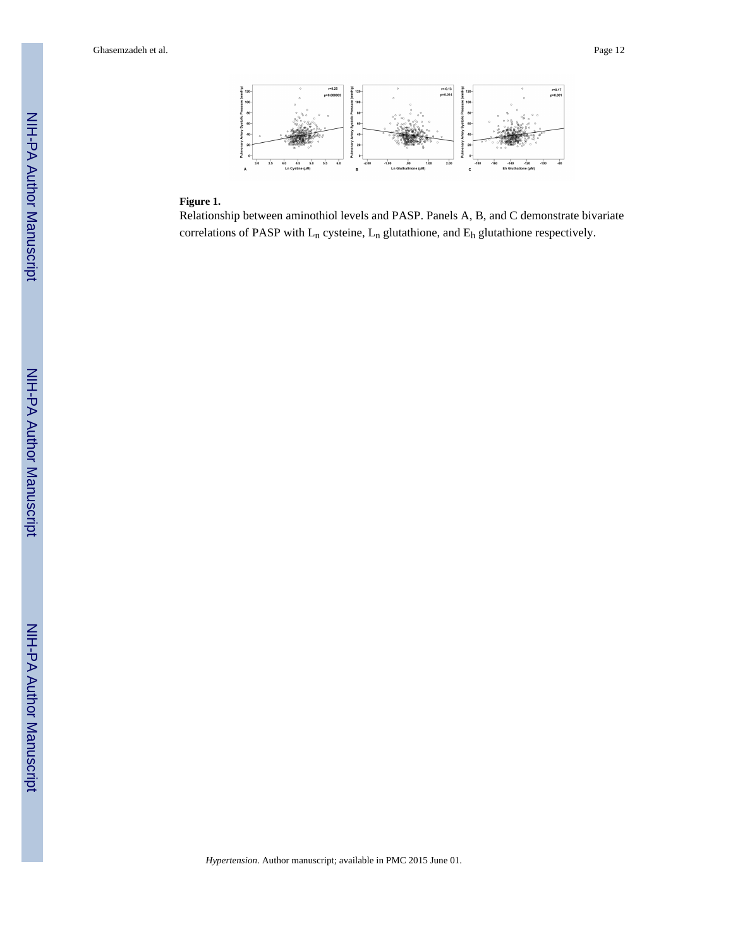

## **Figure 1.**

Relationship between aminothiol levels and PASP. Panels A, B, and C demonstrate bivariate correlations of PASP with  $L_n$  cysteine,  $L_n$  glutathione, and  $E_h$  glutathione respectively.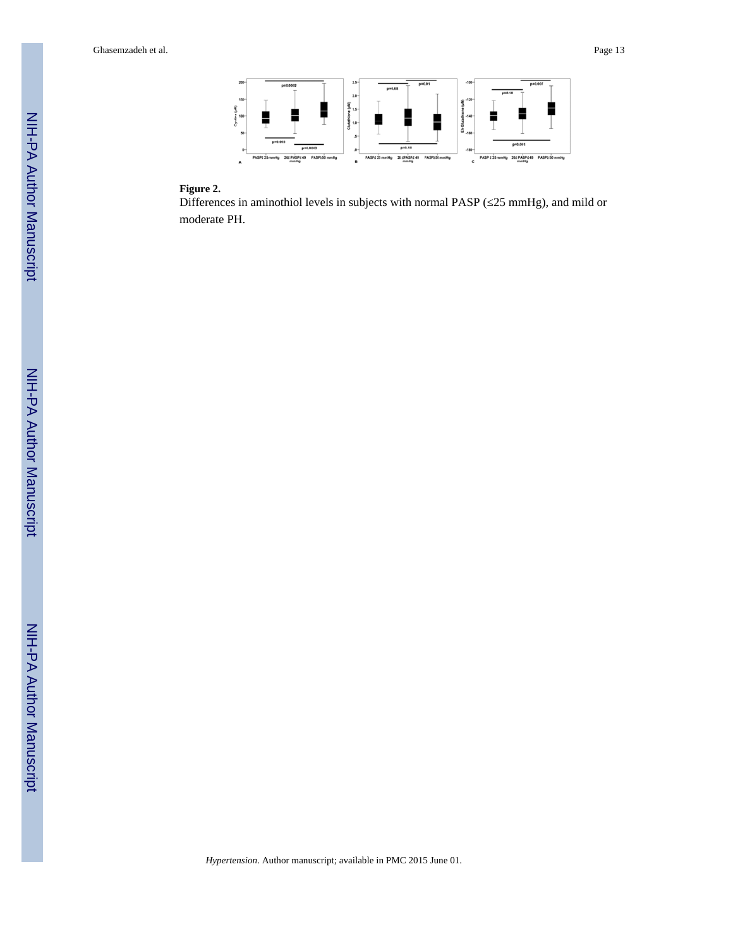

## **Figure 2.**

Differences in aminothiol levels in subjects with normal PASP ( $25$  mmHg), and mild or moderate PH.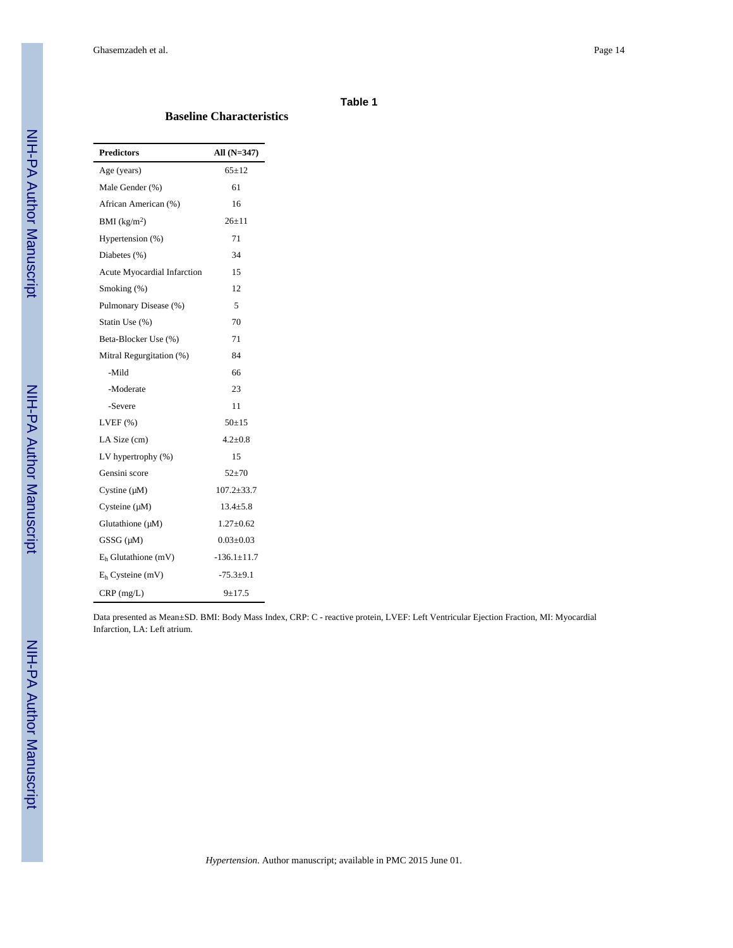#### **Table 1**

#### **Baseline Characteristics**

| <b>Predictors</b>           | All (N=347)       |  |  |
|-----------------------------|-------------------|--|--|
| Age (years)                 | $65 \pm 12$       |  |  |
| Male Gender (%)             | 61                |  |  |
| African American (%)        | 16                |  |  |
| BMI $(kg/m2)$               | $26 + 11$         |  |  |
| Hypertension (%)            | 71                |  |  |
| Diabetes (%)                | 34                |  |  |
| Acute Myocardial Infarction | 15                |  |  |
| Smoking (%)                 | 12                |  |  |
| Pulmonary Disease (%)       | 5                 |  |  |
| Statin Use (%)              | 70                |  |  |
| Beta-Blocker Use (%)        | 71                |  |  |
| Mitral Regurgitation (%)    | 84                |  |  |
| -Mild                       | 66                |  |  |
| -Moderate                   | 23                |  |  |
| -Severe                     | 11                |  |  |
| $LVEF$ $(%)$                | $50 + 15$         |  |  |
| LA Size (cm)                | $4.2 \pm 0.8$     |  |  |
| LV hypertrophy (%)          | 15                |  |  |
| Gensini score               | $52+70$           |  |  |
| Cystine $(\mu M)$           | $107.2 \pm 33.7$  |  |  |
| Cysteine $(\mu M)$          | $13.4 \pm 5.8$    |  |  |
| Glutathione $(\mu M)$       | $1.27 \pm 0.62$   |  |  |
| $GSSG(\mu M)$               | $0.03 \pm 0.03$   |  |  |
| $E_h$ Glutathione (mV)      | $-136.1 \pm 11.7$ |  |  |
| $E_h$ Cysteine (mV)         | $-75.3+9.1$       |  |  |
| $CRP$ (mg/L)                | $9 + 17.5$        |  |  |

Data presented as Mean±SD. BMI: Body Mass Index, CRP: C - reactive protein, LVEF: Left Ventricular Ejection Fraction, MI: Myocardial Infarction, LA: Left atrium.